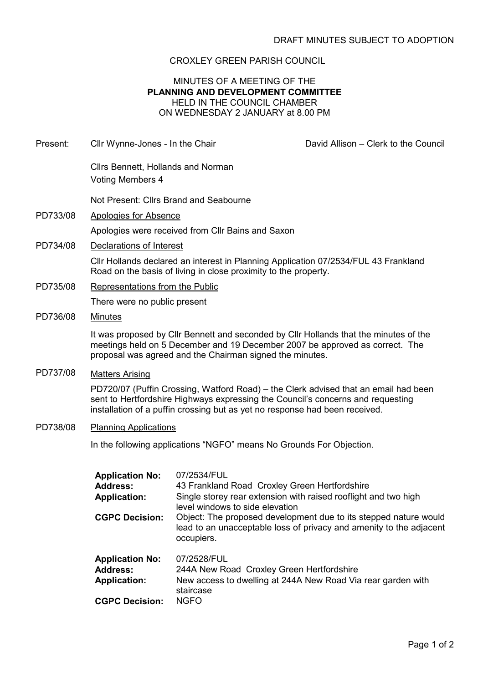# CROXLEY GREEN PARISH COUNCIL

### MINUTES OF A MEETING OF THE PLANNING AND DEVELOPMENT COMMITTEE HELD IN THE COUNCIL CHAMBER ON WEDNESDAY 2 JANUARY at 8.00 PM

- Present: Cllr Wynne-Jones In the Chair David Allison Clerk to the Council Cllrs Bennett, Hollands and Norman Voting Members 4 Not Present: Cllrs Brand and Seabourne PD733/08 Apologies for Absence Apologies were received from Cllr Bains and Saxon PD734/08 Declarations of Interest Cllr Hollands declared an interest in Planning Application 07/2534/FUL 43 Frankland Road on the basis of living in close proximity to the property. PD735/08 Representations from the Public There were no public present PD736/08 Minutes It was proposed by Cllr Bennett and seconded by Cllr Hollands that the minutes of the meetings held on 5 December and 19 December 2007 be approved as correct. The proposal was agreed and the Chairman signed the minutes. PD737/08 Matters Arising PD720/07 (Puffin Crossing, Watford Road) – the Clerk advised that an email had been sent to Hertfordshire Highways expressing the Council's concerns and requesting installation of a puffin crossing but as yet no response had been received. PD738/08 Planning Applications In the following applications "NGFO" means No Grounds For Objection. Application No: 07/2534/FUL Address: 43 Frankland Road Croxley Green Hertfordshire Application: Single storey rear extension with raised rooflight and two high level windows to side elevation **CGPC Decision:** Object: The proposed development due to its stepped nature would lead to an unacceptable loss of privacy and amenity to the adjacent occupiers. Application No: 07/2528/FUL
	- Address: 244A New Road Croxley Green Hertfordshire Application: New access to dwelling at 244A New Road Via rear garden with staircase CGPC Decision: NGFO